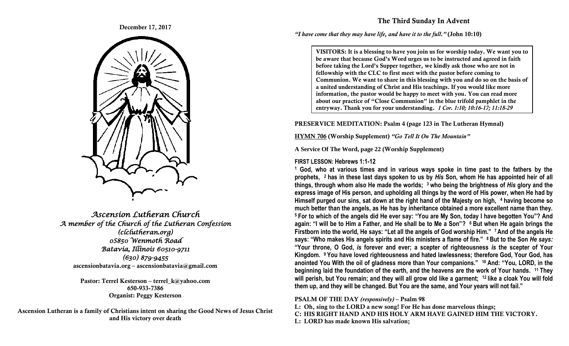### **The Third Sunday In Advent**

#### **December 17, 2017**



*Ascension Lutheran Church A member of the Church of the Lutheran Confession (clclutheran.org) 0S850 Wenmoth Road Batavia, Illinois 60510-9711 (630) 879-9455*  **ascensionbatavia.org – ascensionbatavia@gmail.com**

> **Pastor: Terrel Kesterson – terrel\_k@yahoo.com 650-933-7386 Organist: Peggy Kesterson**

**Ascension Lutheran is a family of Christians intent on sharing the Good News of Jesus Christ and His victory over death**

*"I have come that they may have life, and have it to the full."* **(John 10:10)**

**VISITORS: It is a blessing to have you join us for worship today. We want you to be aware that because God's Word urges us to be instructed and agreed in faith before taking the Lord's Supper together, we kindly ask those who are not in fellowship with the CLC to first meet with the pastor before coming to Communion. We want to share in this blessing with you and do so on the basis of a united understanding of Christ and His teachings. If you would like more information, the pastor would be happy to meet with you. You can read more about our practice of "Close Communion" in the blue trifold pamphlet in the entryway. Thank you for your understanding.** *1 Cor. 1:10; 10:16-17; 11:18-29*

#### **PRESERVICE MEDITATION: Psalm 4 (page 123 in The Lutheran Hymnal)**

**HYMN 706 (Worship Supplement)** *"Go Tell It On The Mountain"*

**A Service Of The Word, page 22 (Worship Supplement)**

### **FIRST LESSON: Hebrews 1:1-12**

**<sup>1</sup> God, who at various times and in various ways spoke in time past to the fathers by the prophets, 2 has in these last days spoken to us by** *His* **Son, whom He has appointed heir of all things, through whom also He made the worlds; 3 who being the brightness of** *His* **glory and the express image of His person, and upholding all things by the word of His power, when He had by Himself purged our sins, sat down at the right hand of the Majesty on high, 4 having become so much better than the angels, as He has by inheritance obtained a more excellent name than they. <sup>5</sup>For to which of the angels did He ever say: "You are My Son, today I have begotten You"? And again: "I will be to Him a Father, and He shall be to Me a Son"? 6 But when He again brings the Firstborn into the world, He says: "Let all the angels of God worship Him." <sup>7</sup>And of the angels He says: "Who makes His angels spirits and His ministers a flame of fire." <sup>8</sup>But to the Son** *He says:*  **"Your throne, O God,** *is* **forever and ever; a scepter of righteousness** *is* **the scepter of Your Kingdom. 9 You have loved righteousness and hated lawlessness; therefore God, Your God, has anointed You With the oil of gladness more than Your companions." <sup>10</sup>And: "You, LORD, in the beginning laid the foundation of the earth, and the heavens are the work of Your hands. 11 They will perish, but You remain; and they will all grow old like a garment; 12 like a cloak You will fold them up, and they will be changed. But You are the same, and Your years will not fail."**

#### **PSALM OF THE DAY** *(responsively)* **– Psalm 98**

- **L: Oh, sing to the LORD a new song! For He has done marvelous things;**
- **C: HIS RIGHT HAND AND HIS HOLY ARM HAVE GAINED HIM THE VICTORY.**
- **L: LORD has made known His salvation;**